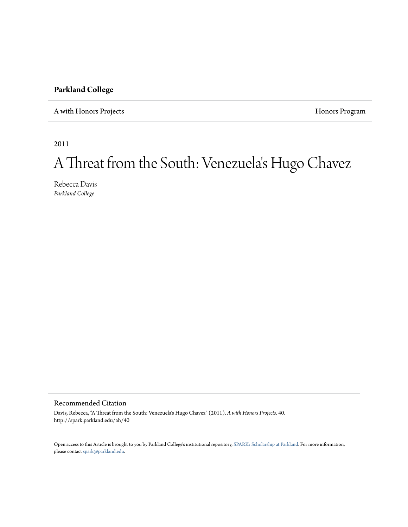## **Parkland College**

A with Honors Projects **Honors** Program

2011

## A Threat from the South: Venezuela 's Hugo Chavez

Rebecca Davis *Parkland College*

## Recommended Citation

Davis, Rebecca, "A Threat from the South: Venezuela's Hugo Chavez" (2011). *A with Honors Projects*. 40. http://spark.parkland.edu/ah/40

Open access to this Article is brought to you by Parkland College's institutional repository, [SPARK: Scholarship at Parkland.](http://spark.parkland.edu/) For more information, please contact [spark@parkland.edu](mailto:spark@parkland.edu).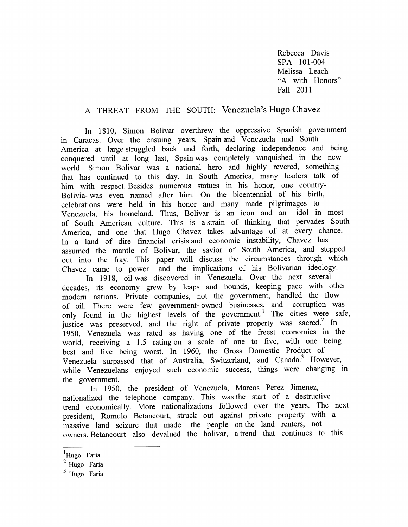Rebecca Davis SPA 101-004 Melissa Leach "A with Honors" Fall 2011

## A THREAT FROM THE SOUTH: Venezuela's Hugo Chavez

In 1810, Simon Bolivar overthrew the oppressive Spanish government in Caracas. Over the ensuing years, Spain and Venezuela and South America at large struggled back and forth, declaring independence and being conquered until at long last, Spain was completely vanquished in the new world. Simon Bolivar was a national hero and highly revered, something that has continued to this day. In South America, many leaders talk of him with respect. Besides numerous statues in his honor, one country-Bolivia-was even named after him. On the bicentennial of his birth, celebrations were held in his honor and many made pilgrimages to Venezuela, his homeland. Thus, Bolivar is an icon and an idol in most of South American culture. This is a strain of thinking that pervades South America, and one that Hugo Chavez takes advantage of at every chance. In a land of dire financial crisis and economic instability, Chavez has assumed the mantle of Bolivar, the savior of South America, and stepped out into the fray. This paper will discuss the circumstances through which Chavez came to power and the implications of his Bolivarian ideology.

In 1918, oil was discovered in Venezuela. Over the next several decades, its economy grew by leaps and bounds, keeping pace with other modern nations. Private companies, not the government, handled the flow of oil. There were few government- owned businesses, and corruption was only found in the highest levels of the government.<sup>1</sup> The cities were safe, justice was preserved, and the right of private property was sacred.<sup>2</sup> In 1950, Venezuela was rated as having one of the freest economies in the world, receiving a 1.5 rating on a scale of one to five, with one being best and five being worst. In 1960, the Gross Domestic Product of Venezuela surpassed that of Australia, Switzerland, and Canada.<sup>3</sup> However, while Venezuelans enjoyed such economic success, things were changing in the government.

In 1950, the president of Venezuela, Marcos Perez Jimenez, nationalized the telephone company. This was the start of a destructive trend economically. More nationalizations followed over the years. The next president, Romulo Betancourt, struck out against private property with a massive land seizure that made the people on the land renters, not owners. Betancourt also devalued the bolivar, a trend that continues to this

<sup>&</sup>lt;sup>1</sup>Hugo Faria

<sup>&</sup>lt;sup>2</sup> Hugo Faria

<sup>&</sup>lt;sup>3</sup> Hugo Faria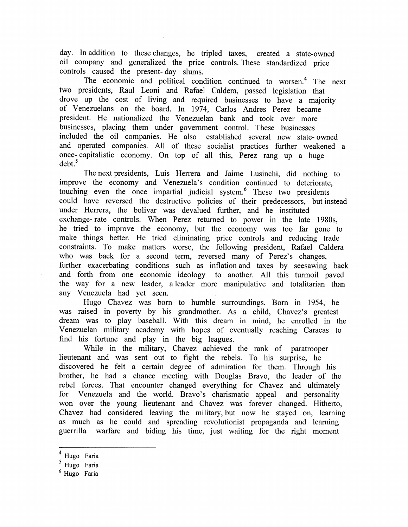day. In addition to these changes, he tripled taxes, created a state-owned oil company and generalized the price controls. These standardized price controls caused the present- day slums.

The economic and political condition continued to worsen.<sup>4</sup> The next two presidents, Raul Leoni and Rafael Caldera, passed legislation that drove up the cost of living and required businesses to have a majority of Venezuelans on the board. In 1974, Carlos Andres Perez became president. He nationalized the Venezuelan bank and took over more businesses, placing them under government control. These businesses included the oil companies. He also established several new state- owned and operated companies. All of these socialist practices further weakened a once- capitalistic economy. On top of all this, Perez rang up a huge  $debt.^5$ 

The next presidents, Luis Herrera and Jaime Lusinchi, did nothing to improve the economy and Venezuela's condition continued to deteriorate, touching even the once impartial judicial system. $<sup>6</sup>$  These two presidents</sup> could have reversed the destructive policies of their predecessors, but instead under Herrera, the bolivar was devalued further, and he instituted exchange-rate controls. When Perez returned to power in the late 1980s, he tried to improve the economy, but the economy was too far gone to make things better. He tried eliminating price controls and reducing trade constraints. To make matters worse, the following president, Rafael Caldera who was back for a second term, reversed many of Perez's changes, further exacerbating conditions such as inflation and taxes by seesawing back and forth from one economic ideology to another. All this turmoil paved the way for a new leader, a leader more manipulative and totalitarian than any Venezuela had yet seen.

Hugo Chavez was born to humble surroundings. Born in 1954, he was raised in poverty by his grandmother. As a child, Chavez's greatest dream was to play baseball. With this dream in mind, he enrolled in the Venezuelan military academy with hopes of eventually reaching Caracas to find his fortune and play in the big leagues.

While in the military, Chavez achieved the rank of paratrooper lieutenant and was sent out to fight the rebels. To his surprise, he discovered he felt a certain degree of admiration for them. Through his brother, he had a chance meeting with Douglas Bravo, the leader of the rebel forces. That encounter changed everything for Chavez and ultimately for Venezuela and the world. Bravo's charismatic appeal and personality won over the young lieutenant and Chavez was forever changed. Hitherto, Chavez had considered leaving the military, but now he stayed on, learning as much as he could and spreading revolutionist propaganda and learning guerrilla warfare and biding his time, just waiting for the right moment

<sup>4</sup> Hugo Faria

<sup>&</sup>lt;sup>5</sup> Hugo Faria

<sup>6</sup> Hugo Faria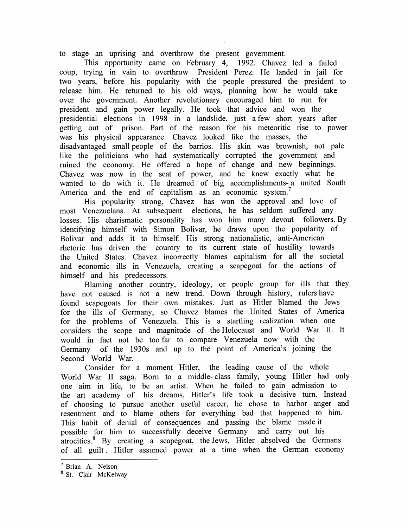to stage an uprising and overthrow the present government.

This opportunity came on February 4, 1992. Chavez led a failed coup, trying in vain to overthrow President Perez. He landed in jail for two years, before his popularity with the people pressured the president to release him. He returned to his old ways, planning how he would take over the government. Another revolutionary encouraged him to run for president and gain power legally. He took that advice and won the presidential elections in 1998 in a landslide, just a few short years after getting out of prison. Part of the reason for his meteoritic rise to power was his physical appearance. Chavez looked like the masses, the disadvantaged small people of the barrios. His skin was brownish, not pale like the politicians who had systematically corrupted the government and ruined the economy. He offered a hope of change and new beginnings. Chavez was now in the seat of power, and he knew exactly what he wanted to do with it. He dreamed of big accomplishments- a united South America and the end of capitalism as an economic system.<sup>7</sup>

His popularity strong, Chavez has won the approval and love of most Venezuelans. At subsequent elections, he has seldom suffered any losses. His charismatic personality has won him many devout followers. By identifying himself with Simon Bolivar, he draws upon the popularity of Bolivar and adds it to himself. His strong nationalistic, anti-American rhetoric has driven the country to its current state of hostility towards the United States. Chavez incorrectly blames capitalism for all the societal and economic ills in Venezuela, creating a scapegoat for the actions of himself and his predecessors.

Blaming another country, ideology, or people group for ills that they have not caused is not a new trend. Down through history, rulers have found scapegoats for their own mistakes. Just as Hitler blamed the Jews for the ills of Germany, so Chavez blames the United States of America for the problems of Venezuela. This is a startling realization when one considers the scope and magnitude of the Holocaust and World War II. It would in fact not be too far to compare Venezuela now with the Germany of the 1930s and up to the point of America's joining the Second World War.

Consider for a moment Hitler, the leading cause of the whole World War II saga. Born to a middle- class family, young Hitler had only one aim in life, to be an artist. When he failed to gain admission to the art academy of his dreams, Hitler's life took a decisive turn. Instead of choosing to pursue another useful career, he chose to harbor anger and resentment and to blame others for everything bad that happened to him. This habit of denial of consequences and passing the blame made it possible for him to successfully deceive Germany and carry out his atrocities.8 By creating a scapegoat, the Jews, Hitler absolved the Germans of all guilt. Hitler assumed power at a time when the German economy

<sup>7</sup> Brian A. Nelson

<sup>&</sup>lt;sup>8</sup> St. Clair McKelway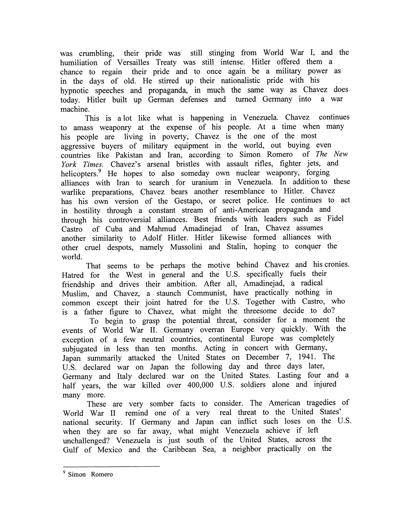was crumbling, their pride was still stinging from World War I, and the humiliation of Versailles Treaty was still intense. Hitler offered them a chance to regain their pride and to once again be a military power as in the days of old. He stirred up their nationalistic pride with his hypnotic speeches and propaganda, in much the same way as Chavez does today. Hitler built up German defenses and turned Germany into a war machine.

This is a lot like what is happening in Venezuela. Chavez continues to amass weaponry at the expense of his people. At a time when many his people are living in poverty, Chavez is the one of the most aggressive buyers of military equipment in the world, out buying even countries like Pakistan and Iran, according to Simon Romero of *The New York Times.* Chavez's arsenal bristles with assault rifles, fighter jets, and helicopters.<sup>9</sup> He hopes to also someday own nuclear weaponry, forging alliances with Iran to search for uranium in Venezuela. In addition to these warlike preparations, Chavez bears another resemblance to Hitler. Chavez has his own version of the Gestapo, or secret police. He continues to act in hostility through a constant stream of anti-American propaganda and through his controversial alliances. Best friends with leaders such as Fidel Castro of Cuba and Mahmud Amadinejad of Iran, Chavez assumes another similarity to Adolf Hitler. Hitler likewise formed alliances with other cruel despots, namely Mussolini and Stalin, hoping to conquer the world.

That seems to be perhaps the motive behind Chavez and his cronies. Hatred for the West in general and the U.S. specifically fuels their friendship and drives their ambition. After all, Amadinejad, a radical Muslim, and Chavez, a staunch Communist, have practically nothing in common except their joint hatred for the U.S. Together with Castro, who is a father figure to Chavez, what might the threesome decide to do?

To begin to grasp the potential threat, consider for a moment the events of World War II. Germany overran Europe very quickly. With the exception of a few neutral countries, continental Europe was completely subjugated in less than ten months. Acting in concert with Germany, Japan summarily attacked the United States on December 7, 1941. The U.S. declared war on Japan the following day and three days later, Germany and Italy declared war on the United States. Lasting four and a half years, the war killed over 400,000 U.S. soldiers alone and injured many more.

These are very somber facts to consider. The American tragedies of World War II remind one of a very real threat to the United States' national security. If Germany and Japan can inflict such loses on the U.S. when they are so far away, what might Venezuela achieve if left unchallenged? Venezuela is just south of the United States, across the Gulf of Mexico and the Caribbean Sea, a neighbor practically on the

<sup>&</sup>lt;sup>9</sup> Simon Romero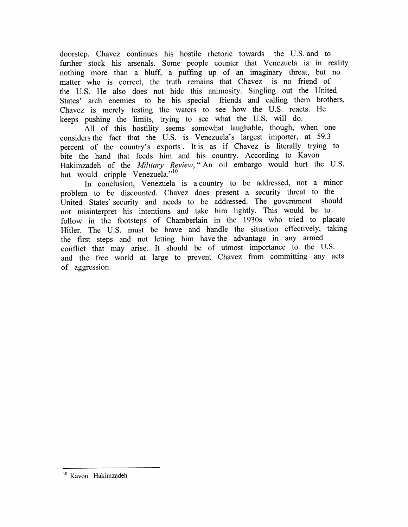doorstep. Chavez continues his hostile rhetoric towards the U.S. and to further stock his arsenals. Some people counter that Venezuela is in reality nothing more than a bluff, a puffing up of an imaginary threat, but no matter who is correct, the truth remains that Chavez is no friend of the U.S. He also does not hide this animosity. Singling out the United States' arch enemies to be his special friends and calling them brothers, Chavez is merely testing the waters to see how the U.S. reacts. He keeps pushing the limits, trying to see what the U.S. will do.

All of this hostility seems somewhat laughable, though, when one considers the fact that the U.S. is Venezuela's largest importer, at 59.3 percent of the country's exports. It is as if Chavez is literally trying to bite the hand that feeds him and his country. According to Kavon Hakimzadeh of the *Military Review,"* An oil embargo would hurt the U.S. but would cripple Venezuela."<sup>10</sup>

In conclusion, Venezuela is a country to be addressed, not a minor problem to be discounted. Chavez does present a security threat to the United States' security and needs to be addressed. The government should not misinterpret his intentions and take him lightly. This would be to follow in the footsteps of Chamberlain in the 1930s who tried to placate Hitler. The U.S. must be brave and handle the situation effectively, taking the first steps and not letting him have the advantage in any armed conflict that may arise. It should be of utmost importance to the U.S. and the free world at large to prevent Chavez from committing any acts of aggression.

<sup>&</sup>lt;sup>10</sup> Kavon Hakimzadeh